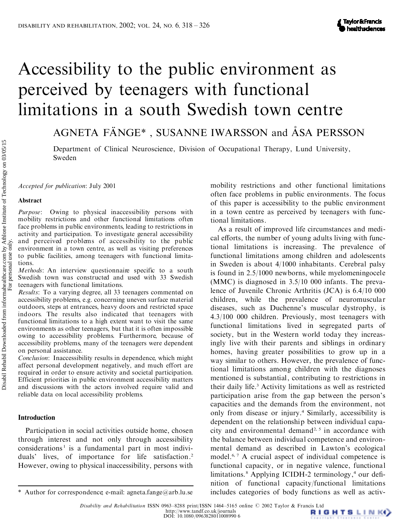# Accessibility to the public environment as perceived by teenagers with functional limitations in a south Swedish town centre

AGNETA FÄNGE\*, SUSANNE IWARSSON and ÅSA PERSSON

Department of Clinical Neuroscience, Division of Occupational Therapy, Lund University, Sweden

*Accepted for publication*: July 2001

#### **Abstract**

*Purpose*: Owing to physical inaccessibility persons with mobility restrictions and other functional limitations often face problems in public environments, leading to restrictions in activity and participation. To investigate general accessibility and perceived problems of accessibility to the public environment in a town centre, as well as visiting preferences to public facilities, among teenagers with functional limitations.

*Methods*: An interview questionnaire specific to a south Swedish town was constructed and used with 33 Swedish teenagers with functional limitations.

*Results*: To a varying degree, all 33 teenagers commented on accessibility problems, e.g. concerning uneven surface material outdoors, steps at entrances, heavy doors and restricted space indoors. The results also indicated that teenagers with functional limitations to a high extent want to visit the same environments as other teenagers, but that it is often impossible owing to accessibility problems. Furthermore, because of accessibility problems, many of the teenagers were dependent on personal assistance. Department of Clinical Neuroscience, Division of Occupation Sweden<br>
Source Source Comparison (of this papear. Owner and the material interaction of the face ince in the state of the papear. Owner is the papear of the stat

*Conclusion*: Inaccessibility results in dependence, which might affect personal development negatively, and much effort are required in order to ensure activity and societal participation. Efficient priorities in public environment accessibility matters and discussions with the actors involved require valid and reliable data on local accessibility problems.

# **Introduction**

Participation in social activities outside home, chosen through interest and not only through accessibility  $considerations<sup>1</sup>$  is a fundamental part in most individuals' lives, of importance for life satisfaction. 2 However, owing to physical inaccessibility, persons with

mobility restrictions and other functional limitations often face problems in public environments. The focus of this paper is accessibility to the public environment in a town centre as perceived by teenagers with functional limitations.

As a result of improved life circumstances and medi cal efforts, the number of young adults living with functional limitations is increasing. The prevalence of functional limitations among children and adolescents in Sweden is about 4/1000 inhabitants. Cerebral palsy is found in 2.5/1000 newborns, while myelomeningocele (MMC) is diagnosed in 3.5/10 000 infants. The prevalence of Juvenile Chronic Arthritis (JCA) is 6.4/10 000 children, while the prevalence of neuromuscular diseases, such as Duchenne's muscular dystrophy, is 4.3/100 000 children. Previously, most teenagers with functional limitations lived in segregated parts of society, but in the Western world today they increasingly live with their parents and siblings in ordinary homes, having greater possibilities to grow up in a way similar to others. However, the prevalence of functional limitations among children with the diagnoses mentioned is substantial, contributing to restrictions in their daily life. <sup>3</sup> Activity limitations as well as restricted participation arise from the gap between the person's capacities and the demands from the environment, not only from disease or injury. <sup>4</sup> Similarly, accessibility is dependent on the relationship between individual capa city and environmental demand 2, <sup>5</sup> in accordance with the balance between individual competence and environ mental demand as described in Lawton's ecological model.<sup>6,7</sup> A crucial aspect of individual competence is functional capacity, or in negative valence, functional limitations.<sup>8</sup> Applying ICIDH-2 terminology,<sup>4</sup> our definition of functional capacity/functional limitations \* Author for correspondence; e-mail: agneta.fange@arb.lu.se includes categories of body functions as well as activ-

*Disability and Rehabilitation* ISSN 0963-8288 print/ISSN 1464-5165 online  $\bigcirc$  2002 Taylor & Francis Ltd<br>http://www.tandf.co.uk/journals http://www.tandf.co.uk/journals<br>DOI: 10.1080/0963828011008990 6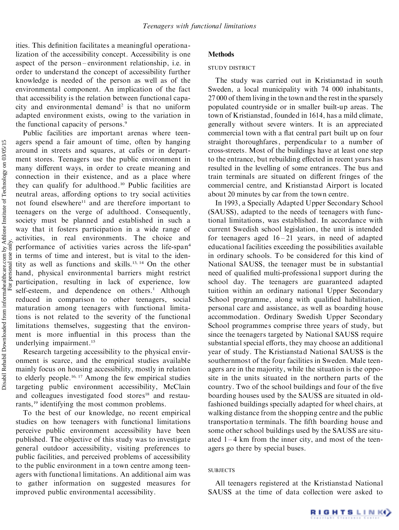ities. This definition facilitates a meaningful operationalization of the accessibility concept. Accessibility is one aspect of the person-environment relationship, i.e. in order to understand the concept of accessibility further knowledge is needed of the person as well as of the environmental component. An implication of the fact that accessibility is the relation between functional capa city and environmental demand <sup>2</sup> is that no uniform adapted environment exists, owing to the variation in the functional capacity of persons. 9

Public facilities are important arenas where teen agers spend a fair amount of time, often by hanging around in streets and squares, at cafés or in department stores. Teenagers use the public environment in many different ways, in order to create meaning and connection in their existence, and as a place where they can qualify for adulthood. <sup>10</sup> Public facilities are neutral areas, affording options to try social activities not found elsewhere <sup>11</sup> and are therefore important to teenagers on the verge of adulthood. Consequently, society must be planned and established in such a way that it fosters participation in a wide range of activities, in real environments. The choice and performance of activities varies across the life-span 4 in terms of time and interest, but is vital to the identity as well as functions and skills. 13, <sup>14</sup> On the other hand, physical environmental barriers might restrict participation, resulting in lack of experience, low self-esteem, and dependence on others. <sup>1</sup> Although reduced in comparison to other teenagers, social maturation among teenagers with functional limitations is not related to the severity of the functional limitations themselves, suggesting that the environ ment is more influential in this process than the underlying impairment. 15

Research targeting accessibility to the physical envir onment is scarce, and the empirical studies available mainly focus on housing accessibility, mostly in relation to elderly people. 16, <sup>17</sup> Among the few empirical studies targeting public environment accessibility, McClain and colleagues investigated food stores <sup>18</sup> and restaurants,<sup>19</sup> identifying the most common problems.

To the best of our knowledge, no recent empirical studies on how teenagers with functional limitations perceive public environment accessibility have been published. The objective of this study was to investigate general outdoor accessibility, visiting preferences to public facilities, and perceived problems of accessibility to the public environment in a town centre among teen agers with functional limitations. An additional aim was to gather information on suggested measures for improved public environmental accessibility.

### **Methods**

#### STUDY DISTRICT

The study was carried out in Kristianstad in south Sweden, a local municipality with 74 000 inhabitants, 27 000 of them living in the town and the restin the sparsely populated countryside or in smaller built-up areas. The town of Kristianstad, founded in 1614, has a mild climate, generally without severe winters. It is an appreciated commercial town with a flat central part built up on four straight thoroughfares, perpendicular to a number of cross-streets. Most of the buildings have at least one step to the entrance, but rebuilding effected in recent years has resulted in the levelling of some entrances. The bus and train terminals are situated on different fringes of the commercial centre, and Kristianstad Airport is located about 20 minutes by car from the town centre.

In 1993, a Specially Adapted Upper Secondary School (SAUSS), adapted to the needs of teenagers with functional limitations, was established. In accordance with current Swedish school legislation, the unit is intended for teenagers aged  $16 - 21$  years, in need of adapted educational facilities exceeding the possibilities available in ordinary schools. To be considered for this kind of National SAUSS, the teenager must be in substantial need of qualified multi-professional support during the school day. The teenagers are guaranteed adapted tuition within an ordinary national Upper Secondary School programme, along with qualified habilitation, personal care and assistance, as well as boarding house accommodation. Ordinary Swedish Upper Secondary School programmes comprise three years of study, but since the teenagers targeted by National SAUSS require substantial special efforts, they may choose an additional year of study. The Kristianstad National SAUSS is the southernmost of the four facilities in Sweden. Male teen agers are in the majority, while the situation is the opposite in the units situated in the northern parts of the country. Two of the school buildings and four of the five boarding houses used by the SAUSS are situated in oldfashioned buildings specially adapted for wheel chairs, at walking distance from the shopping centre and the public transportation terminals. The fifth boarding house and some other school buildings used by the SAUSS are situ ated  $1 - 4$  km from the inner city, and most of the teenagers go there by special buses.

#### **SUBJECTS**

All teenagers registered at the Kristianstad National SAUSS at the time of data collection were asked to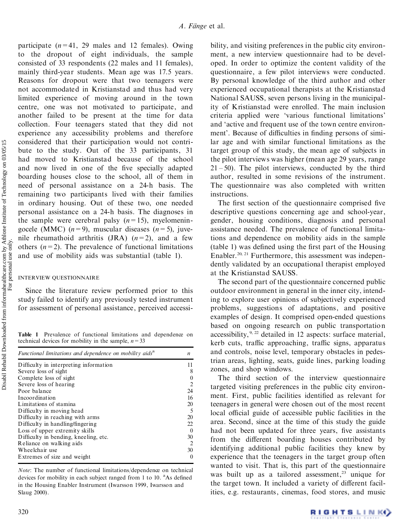participate  $(n=41, 29$  males and 12 females). Owing to the dropout of eight individuals, the sample consisted of 33 respondents (22 males and 11 females), mainly third-year students. Mean age was 17.5 years. Reasons for dropout were that two teenagers were not accommodated in Kristianstad and thus had very limited experience of moving around in the town centre, one was not motivated to participate, and another failed to be present at the time for data collection. Four teenagers stated that they did not experience any accessibility problems and therefore considered that their participation would not contri bute to the study. Out of the 33 participants, 31 had moved to Kristianstad because of the school and now lived in one of the five specially adapted boarding houses close to the school, all of them in need of personal assistance on a 24-h basis. The remaining two participants lived with their families in ordinary housing. Out of these two, one needed personal assistance on a 24-h basis. The diagnoses in the sample were cerebral palsy  $(n=15)$ , myelomeningocele (MMC)  $(n=9)$ , muscular diseases  $(n=5)$ , juvenile rheumathoid arthritis  $JRA$   $(n=2)$ , and a few others  $(n=2)$ . The prevalence of functional limitations and use of mobility aids was substantial (table 1).

## INTERVIEW QUESTIONNAIRE

Since the literature review performed prior to this study failed to identify any previously tested instrument for assessment of personal assistance, perceived accessi-

**Table 1** Prevalence of functional limitations and dependence on technical devices for mobility in the sample,  $n=33$ 

| Functional limitations and dependence on mobility aids <sup>a</sup> |                |  |
|---------------------------------------------------------------------|----------------|--|
| Difficulty in interpreting information                              | 11             |  |
| Severe loss of sight                                                | 8              |  |
| Complete loss of sight                                              | $\theta$       |  |
| Severe loss of hearing                                              | $\overline{2}$ |  |
| Poor balance                                                        | 24             |  |
| Incoordination                                                      | 16             |  |
| Limitations of stamina                                              | 20             |  |
| Difficulty in moving head                                           | -5             |  |
| Difficulty in reaching with arms                                    | 20             |  |
| Difficulty in handling/fingering                                    | 22             |  |
| Loss of upper extremity skills                                      | $\Omega$       |  |
| Difficulty in bending, kneeling, etc.                               | 30             |  |
| Reliance on walking aids                                            | 2              |  |
| Wheelchair use                                                      | 30             |  |
| Extremes of size and weight                                         |                |  |

*Note*: The number of functional limitations/dependence on technical devices for mobility in each subject ranged from 1 to 10. <sup>a</sup>As defined in the Housing Enabler Instrument (Iwarsson 1999, Iwarsson and Slaug 2000).

bility, and visiting preferences in the public city environ ment, a new interview questionnaire had to be devel oped. In order to optimize the content validity of the questionnaire, a few pilot interviews were conducted. By personal knowledge of the third author and other experienced occupational therapists at the Kristianstad National SAUSS, seven persons living in the municipality of Kristianstad were enrolled. The main inclusion criteria applied were `various functional limitations' and `active and frequent use of the town centre environ ment'. Because of difficulties in finding persons of similar age and with similar functional limitations as the target group of this study, the mean age of subjects in the pilot interviews was higher (mean age 29 years, range  $21 - 50$ ). The pilot interviews, conducted by the third author, resulted in some revisions of the instrument. The questionnaire was also completed with written instructions.

The first section of the questionnaire comprised five descriptive questions concerning age and school-year, gender, housing conditions, diagnosis and personal assistance needed. The prevalence of functional limitations and dependence on mobility aids in the sample  $(table 1)$  was defined using the first part of the Housing Enabler.<sup>20, 21</sup> Furthermore, this assessment was independently validated by an occupational therapist employed at the Kristianstad SAUSS.

The second part of the questionnaire concerned public outdoor environment in general in the inner city, intending to explore user opinions of subjectively experienced problems, suggestions of adaptations, and positive examples of design. It comprised open-ended questions based on ongoing research on public transportation accessibility,  $9, 22$  detailed in 12 aspects: surface material, kerb cuts, traffic approaching, traffic signs, apparatus and controls, noise level, temporary obstacles in pedestrian areas, lighting, seats, guide lines, parking loading zones, and shop windows.

The third section of the interview questionnaire targeted visiting preferences in the public city environ ment. First, public facilities identified as relevant for teenagers in general were chosen out of the most recent local official guide of accessible public facilities in the area. Second, since at the time of this study the guide had not been updated for three years, five assistants from the different boarding houses contributed by identifying additional public facilities they knew by experience that the teenagers in the target group often wanted to visit. That is, this part of the questionnaire was built up as a tailored assessment, <sup>23</sup> unique for the target town. It included a variety of different facilities, e.g. restaurants, cinemas, food stores, and music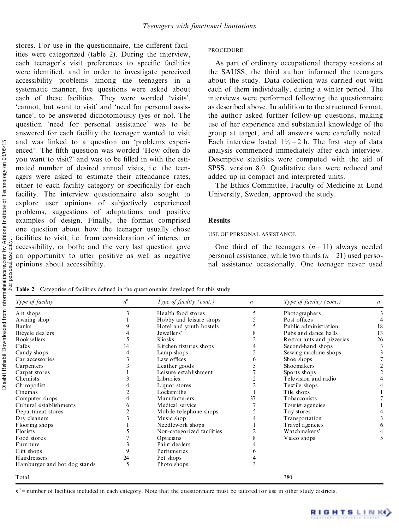stores. For use in the questionnaire, the different facilities were categorized (table 2). During the interview, each teenager's visit preferences to specific facilities were identified, and in order to investigate perceived accessibility problems among the teenagers in a systematic manner, five questions were asked about each of these facilities. They were worded 'visits', `cannot, but want to visit' and `need for personal assistance', to be answered dichotomously (yes or no). The question `need for personal assistance' was to be answered for each facility the teenager wanted to visit and was linked to a question on `problems experi enced'. The fifth question was worded 'How often do you want to visit?' and was to be filled in with the estimated number of desired annual visits, i.e. the teen agers were asked to estimate their attendance rates, either to each facility category or specifically for each facility. The interview questionnaire also sought to explore user opinions of subjectively experienced problems, suggestions of adaptations and positive examples of design. Finally, the format comprised one question about how the teenager usually chose facilities to visit, i.e. from consideration of interest or accessibility, or both; and the very last question gave an opportunity to utter positive as well as negative opinions about accessibility.

### **PROCEDURE**

As part of ordinary occupational therapy sessions at the SAUSS, the third author informed the teenagers about the study. Data collection was carried out with each of them individually, during a winter period. The interviews were performed following the questionnaire as described above. In addition to the structured format, the author asked further follow-up questions, making use of her experience and substantial knowledge of the group at target, and all answers were carefully noted. Each interview lasted  $1\frac{1}{2} - 2$  h. The first step of data analysis commenced immediately after each interview. Descriptive statistics were computed with the aid of SPSS, version 8.0. Qualitative data were reduced and added up in compact and interpreted units.

The Ethics Committee, Faculty of Medicine at Lund University, Sweden, approved the study.

### **Results**

#### USE OF PERSONAL ASSISTANCE

One third of the teenagers  $(n=11)$  always needed personal assistance, while two thirds (*n*=21) used perso nal assistance occasionally. One teenager never used

**Table 2** Categories of facilities defined in the questionnaire developed for this study

| Type of facility             | $n^{\mathrm{a}}$ | Type of facility (cont.)   | $\boldsymbol{n}$ | Type of facility $(cont.)$ | n  |
|------------------------------|------------------|----------------------------|------------------|----------------------------|----|
| Art shops                    | 3                | Health food stores         | 5                | Photographers              |    |
| A wning shop                 |                  | Hobby and leisure shops    |                  | Post offices               |    |
| <b>Banks</b>                 |                  | Hotel and youth hostels    |                  | Public administration      | 18 |
| Bicycle dealers              |                  | Jewellers'                 |                  | Pubs and dance halls       | 13 |
| <b>Booksellers</b>           |                  | K josks                    |                  | Restaurants and pizzerias  | 26 |
| Cafes                        | 14               | Kitchen fixtures shops     |                  | Second-hand shops          |    |
| Candy shops                  |                  | Lamp shops                 |                  | Sewing-machine shops       |    |
| Car accessories              |                  | Law offices                | 6                | Shoe shops                 |    |
| Carpenters                   |                  | Leather goods              |                  | Shoemakers                 |    |
| Carpet stores                |                  | Leisure establishment      |                  | Sports shops               |    |
| Chemists                     |                  | Libraries                  |                  | Television and radio       |    |
| Chiropodist                  |                  | Liquor stores              | $\overline{c}$   | Textile shops              |    |
| Cinemas                      |                  | Locksmiths                 |                  | Tile shops                 |    |
| Computer shops               | 4                | Manufacturers              | 37               | Tobacconists               |    |
| Cultural establishments      |                  | Medical service            |                  | Tourist agencies           |    |
| Department stores            |                  | Mobile telephone shops     |                  | Toy stores                 |    |
| Dry cleaners                 | 3                | Music shop                 |                  | Transportation             |    |
| Flooring shops               |                  | Needlework shops           |                  | Travel agencies            |    |
| Florists                     |                  | Non-categorized facilities |                  | Watchmakers'               |    |
| Food stores                  |                  | Opticians                  |                  | Video shops                |    |
| Furniture                    |                  | Paint dealers              |                  |                            |    |
| Gift shops                   |                  | Perfumeries                |                  |                            |    |
| Hairdressers                 | 24               | Pet shops                  |                  |                            |    |
| Hamburger and hot dog stands | 5                | Photo shops                |                  |                            |    |
| Total                        |                  |                            |                  | 380                        |    |

*n*<sup>a</sup> = number of facilities included in each category. Note that the questionnaire must be tailored for use in other study districts.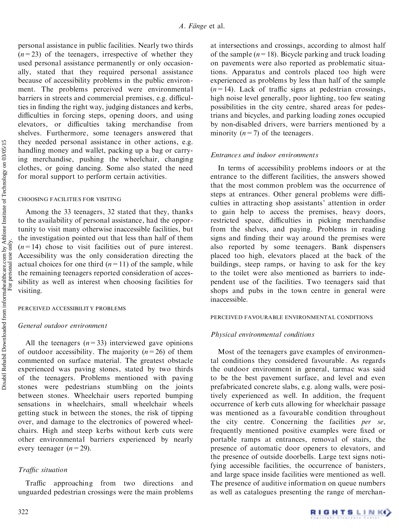personal assistance in public facilities. Nearly two thirds  $(n=23)$  of the teenagers, irrespective of whether they used personal assistance permanently or only occasion ally, stated that they required personal assistance because of accessibility problems in the public environ ment. The problems perceived were environmental barriers in streets and commercial premises, e.g. difficulties in finding the right way, judging distances and kerbs, difficulties in forcing steps, opening doors, and using elevators, or difficulties taking merchandise from shelves. Furthermore, some teenagers answered that they needed personal assistance in other actions, e.g. handling money and wallet, packing up a bag or carrying merchandise, pushing the wheelchair, changing clothes, or going dancing. Some also stated the need for moral support to perform certain activities.

## CHOOSING FACILITIES FOR VISITING

Among the 33 teenagers, 32 stated that they, thanks to the availability of personal assistance, had the opportunity to visit many otherwise inaccessible facilities, but the investigation pointed out that less than half of them  $(n=14)$  chose to visit facilities out of pure interest. Accessibility was the only consideration directing the actual choices for one third  $(n=11)$  of the sample, while the remaining teenagers reported consideration of accessibility as well as interest when choosing facilities for visiting.

## PERCEIVED ACCESSIBILITY PROBLEMS

## *General outdoor environment*

All the teenagers  $(n=33)$  interviewed gave opinions of outdoor accessibility. The majority  $(n=26)$  of them commented on surface material. The greatest obstacle experienced was paving stones, stated by two thirds of the teenagers. Problems mentioned with paving stones were pedestrians stumbling on the joints between stones. Wheelchair users reported bumping sensations in wheelchairs, small wheelchair wheels getting stuck in between the stones, the risk of tipping over, and damage to the electronics of powered wheel chairs. High and steep kerbs without kerb cuts were other environmental barriers experienced by nearly every teenager  $(n=29)$ .

# *Trac situation*

Traffic approaching from two directions and unguarded pedestrian crossings were the main problems at intersections and crossings, according to almost half of the sample  $(n=18)$ . Bicycle parking and truck loading on pavements were also reported as problematic situations. Apparatus and controls placed too high were experienced as problems by less than half of the sample  $(n=14)$ . Lack of traffic signs at pedestrian crossings, high noise level generally, poor lighting, too few seating possibilities in the city centre, shared areas for pedestrians and bicycles, and parking loading zones occupied by non-disabled drivers, were barriers mentioned by a minority  $(n=7)$  of the teenagers.

## *Entrances and indoor environments*

In terms of accessibility problems indoors or at the entrance to the different facilities, the answers showed that the most common problem was the occurrence of steps at entrances. Other general problems were difficulties in attracting shop assistants' attention in order to gain help to access the premises, heavy doors, restricted space, difficulties in picking merchandise from the shelves, and paying. Problems in reading signs and finding their way around the premises were also reported by some teenagers. Bank dispensers placed too high, elevators placed at the back of the buildings, steep ramps, or having to ask for the key to the toilet were also mentioned as barriers to inde pendent use of the facilities. Two teenagers said that shops and pubs in the town centre in general were inaccessible.

## PERCEIVED FAVOURABLE ENVIRONMENTAL CONDITIONS

## *Physical environmental conditions*

Most of the teenagers gave examples of environmental conditions they considered favourable. As regards the outdoor environment in general, tarmac was said to be the best pavement surface, and level and even prefabricated concrete slabs, e.g. along walls, were positively experienced as well. In addition, the frequent occurrence of kerb cuts allowing for wheelchair passage was mentioned as a favourable condition throughout the city centre. Concerning the facilities *per se*, frequently mentioned positive examples were fixed or portable ramps at entrances, removal of stairs, the presence of automatic door openers to elevators, and the presence of outside doorbells. Large text signs notifying accessible facilities, the occurrence of banisters, and large space inside facilities were mentioned as well. The presence of auditive information on queue numbers as well as catalogues presenting the range of merchan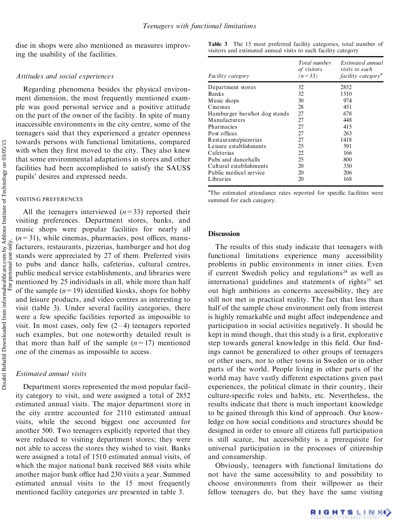dise in shops were also mentioned as measures improving the usability of the facilities.

## *Attitudes and social experiences*

Regarding phenomena besides the physical environ ment dimension, the most frequently mentioned exam ple was good personal service and a positive attitude on the part of the owner of the facility. In spite of many inaccessible environments in the city centre, some of the teenagers said that they experienced a greater openness towards persons with functional limitations, compared with when they first moved to the city. They also knew that some environmental adaptations in stores and other facilities had been accomplished to satisfy the SAUSS pupils' desires and expressed needs.

#### VISITING PREFERENCES

Disabil Rehabil Downloaded from informahealthcare.com by Athlone Institute of Technology on 03/05/15<br>For personal use only. Disabil Rehabil Downloaded from informahealthcare.com by Athlone Institute of Technology on 03/05/15 For personal use only.

All the teenagers interviewed  $(n=33)$  reported their visiting preferences. Department stores, banks, and music shops were popular facilities for nearly all  $(n=31)$ , while cinemas, pharmacies, post offices, manufacturers, restaurants, pizzerias, hamburger and hot dog stands were appreciated by 27 of them. Preferred visits to pubs and dance halls, cafeterias, cultural centres, public medical service establishments, and libraries were mentioned by 25 individuals in all, while more than half of the sample  $(n=19)$  identified kiosks, shops for hobby and leisure products, and video centres as interesting to visit (table 3). Under several facility categories, there were a few specific facilities reported as impossible to visit. In most cases, only few  $(2-4)$  teenagers reported such examples, but one noteworthy detailed result is that more than half of the sample  $(n=17)$  mentioned one of the cinemas as impossible to access.

## *Estimated annual visits*

Department stores represented the most popular facility category to visit, and were assigned a total of 2852 estimated annual visits. The major department store in the city centre accounted for 2110 estimated annual visits, while the second biggest one accounted for another 500. Two teenagers explicitly reported that they were reduced to visiting department stores; they were not able to access the stores they wished to visit. Banks were assigned a total of 1510 estimated annual visits, of which the major national bank received 868 visits while another major bank office had 230 visits a year. Summed estimated annual visits to the 15 most frequently mentioned facility categories are presented in table 3.

|  |                                                                |  | <b>Table 3</b> The 15 most preferred facility categories, total number of |
|--|----------------------------------------------------------------|--|---------------------------------------------------------------------------|
|  | visitors and estimated annual visits to each facility category |  |                                                                           |

| <i>Facility category</i>      | Total number<br>of visitors<br>$(n=33)$ | Estimated annual<br><i>visits to each</i><br><i>facility category</i> <sup>a</sup> |
|-------------------------------|-----------------------------------------|------------------------------------------------------------------------------------|
| Department stores             | 32                                      | 2852                                                                               |
| <b>Banks</b>                  | 32                                      | 1510                                                                               |
| Music shops                   | 30                                      | 974                                                                                |
| Cinemas                       | 28                                      | 451                                                                                |
| Hamburger bars/hot dog stands | 27                                      | 678                                                                                |
| Manufacturers                 | 27                                      | 448                                                                                |
| Pharmacies                    | 27                                      | 415                                                                                |
| Post offices                  | 27                                      | 263                                                                                |
| Restaurants/pizzerias         | 27                                      | 1418                                                                               |
| Leisure establishments        | 25                                      | 591                                                                                |
| Cafeterias                    | 22                                      | 166                                                                                |
| Pubs and dancehalls           | 25                                      | 800                                                                                |
| Cultural establishments       | 20                                      | 330                                                                                |
| Public medical service        | 20                                      | 206                                                                                |
| Libraries                     | 20                                      | 168                                                                                |

<sup>a</sup>The estimated attendance rates reported for specific facilities were summed for each category.

## **Discussion**

The results of this study indicate that teenagers with functional limitations experience many accessibility problems in public environments in inner cities. Even if current Swedish policy and regulations <sup>24</sup> as well as international guidelines and statements of rights <sup>25</sup> set out high ambitions as concerns accessibility, they are still not met in practical reality. The fact that less than half of the sample chose environment only from interest is highly remarkable and might affect independence and participation in social activities negatively. It should be kept in mind though, that this study is a first, explorative step towards general knowledge in this field. Our findings cannot be generalized to other groups of teenagers or other users, nor to other towns in Sweden or in other parts of the world. People living in other parts of the world may have vastly different expectations given past experiences, the political climate in their country, their culture-specific roles and habits, etc. Nevertheless, the results indicate that there is much important knowledge to be gained through this kind of approach. Our knowledge on how social conditions and structures should be designed in order to ensure all citizens full participation is still scarce, but accessibility is a prerequisite for universal participation in the processes of citizenship and consumership.

Obviously, teenagers with functional limitations do not have the same accessibility to and possibility to choose environments from their willpower as their fellow teenagers do, but they have the same visiting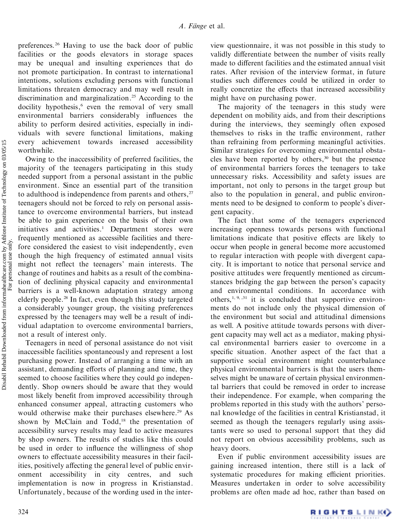preferences. <sup>26</sup> Having to use the back door of public facilities or the goods elevators in storage spaces may be unequal and insulting experiences that do not promote participation. In contrast to international intentions, solutions excluding persons with functional limitations threaten democracy and may well result in discrimination and marginalization. <sup>25</sup> According to the docility hypothesis, <sup>6</sup> even the removal of very small environmental barriers considerably influences the ability to perform desired activities, especially in indi viduals with severe functional limitations, making every achievement towards increased accessibility worthwhile.

Owing to the inaccessibility of preferred facilities, the majority of the teenagers participating in this study needed support from a personal assistant in the public environment. Since an essential part of the transition to adulthood is independence from parents and others,<sup>27</sup> teenagers should not be forced to rely on personal assistance to overcome environmental barriers, but instead be able to gain experience on the basis of their own initiatives and activities. <sup>1</sup> Department stores were frequently mentioned as accessible facilities and therefore considered the easiest to visit independently, even though the high frequency of estimated annual visits might not reflect the teenagers' main interests. The change of routines and habits as a result of the combination of declining physical capacity and environmental barriers is a well-known adaptation strategy among elderly people. <sup>28</sup> In fact, even though this study targeted a considerably younger group, the visiting preferences expressed by the teenagers may well be a result of indi vidual adaptation to overcome environmental barriers, not a result of interest only.

Teenagers in need of personal assistance do not visit inaccessible facilities spontaneously and represent a lost purchasing power. Instead of arranging a time with an assistant, demanding efforts of planning and time, they seemed to choose facilities where they could go indepen dently. Shop owners should be aware that they would most likely benefit from improved accessibility through enhanced consumer appeal, attracting customers who would otherwise make their purchases elsewhere. <sup>29</sup> As shown by McClain and Todd, <sup>18</sup> the presentation of accessibility survey results may lead to active measures by shop owners. The results of studies like this could be used in order to influence the willingness of shop owners to effectuate accessibility measures in their facilities, positively affecting the general level of public environment accessibility in city centres, and such implementation is now in progress in Kristianstad. Unfortunately, because of the wording used in the interview questionnaire, it was not possible in this study to validly differentiate between the number of visits really made to different facilities and the estimated annual visit rates. After revision of the interview format, in future studies such differences could be utilized in order to really concretize the effects that increased accessibility might have on purchasing power.

The majority of the teenagers in this study were dependent on mobility aids, and from their descriptions during the interviews, they seemingly often exposed themselves to risks in the traffic environment, rather than refraining from performing meaningful activities. Similar strategies for overcoming environmental obsta cles have been reported by others, <sup>30</sup> but the presence of environmental barriers forces the teenagers to take unnecessary risks. Accessibility and safety issues are important, not only to persons in the target group but also to the population in general, and public environ ments need to be designed to conform to people's diver gent capacity.

The fact that some of the teenagers experienced increasing openness towards persons with functional limitations indicate that positive effects are likely to occur when people in general become more accustomed to regular interaction with people with divergent capa city. It is important to notice that personal service and positive attitudes were frequently mentioned as circumstances bridging the gap between the person's capacity and environmental conditions. In accordance with others,<sup>1, 9, ,31</sup> it is concluded that supportive environments do not include only the physical dimension of the environment but social and attitudinal dimensions as well. A positive attitude towards persons with diver gent capacity may well act as a mediator, making physi cal environmental barriers easier to overcome in a specific situation. Another aspect of the fact that a supportive social environment might counterbalance physical environmental barriers is that the users themselves might be unaware of certain physical environmental barriers that could be removed in order to increase their independence. For example, when comparing the problems reported in this study with the authors' perso nal knowledge of the facilities in central Kristianstad, it seemed as though the teenagers regularly using assistants were so used to personal support that they did not report on obvious accessibility problems, such as heavy doors.

Even if public environment accessibility issues are gaining increased intention, there still is a lack of systematic procedures for making efficient priorities. Measures undertaken in order to solve accessibility problems are often made ad hoc, rather than based on

Disabil Rehabil Downloaded from informahealthcare.com by Athlone Institute of Technology on 03/05/15<br>For personal use only. Disabil Rehabil Downloaded from informahealthcare.com by Athlone Institute of Technology on 03/05/15 For personal use only.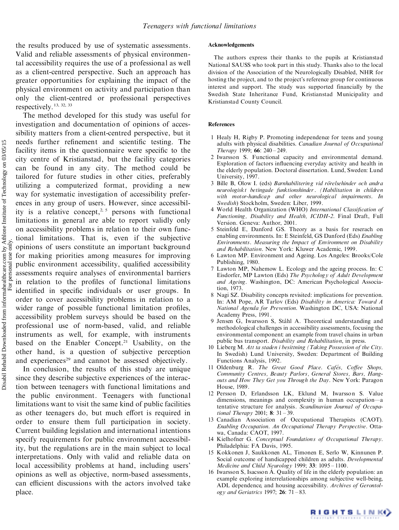the results produced by use of systematic assessments. Valid and reliable assessments of physical environmental accessibility requires the use of a professional as well as a client-centred perspective. Such an approach has greater opportunities for explaining the impact of the physical environment on activity and participation than only the client-centred or professional perspectives respectively. 13, 32, <sup>33</sup>

The method developed for this study was useful for investigation and documentation of opinions of accessibility matters from a client-centred perspective, but it needs further refinement and scientific testing. The facility items in the questionnaire were specific to the city centre of Kristianstad, but the facility categories can be found in any city. The method could be tailored for future studies in other cities, preferably utilizing a computerized format, providing a new way for systematic investigation of accessibility prefer ences in any group of users. However, since accessibility is a relative concept,<sup>2, 5</sup> persons with functional limitations in general are able to report validly only on accessibility problems in relation to their own functional limitations. That is, even if the subjective opinions of users constitute an important background for making priorities among measures for improving public environment accessibility, qualified accessibility assessments require analyses of environmental barriers in relation to the profiles of functional limitations identified in specific individuals or user groups. In order to cover accessibility problems in relation to a wider range of possible functional limitation profiles, accessibility problem surveys should be based on the professional use of norm-based, valid, and reliable instruments as well, for example, with instruments based on the Enabler Concept. <sup>21</sup> Usability, on the other hand, is a question of subjective perception and experiences <sup>29</sup> and cannot be assessed objectively.

In conclusion, the results of this study are unique since they describe subjective experiences of the interaction between teenagers with functional limitations and the public environment. Teenagers with functional limitations want to visit the same kind of public facilities as other teenagers do, but much effort is required in order to ensure them full participation in society. Current building legislation and international intentions specify requirements for public environment accessibility, but the regulations are in the main subject to local interpretations. Only with valid and reliable data on local accessibility problems at hand, including users' opinions as well as objective, norm-based assessments, can efficient discussions with the actors involved take place.

#### **Acknowledgements**

The authors express their thanks to the pupils at Kristianstad National SAUSS who took part in this study. Thanks also to the local division of the Association of the Neurologically Disabled, NHR for hosting the project, and to the project's reference group for continuous interest and support. The study was supported financially by the Swedish State Inheritance Fund, Kristianstad Municipality and Kristianstad County Council.

#### **References**

- 1 Healy H, Rigby P. Promoting independence for teens and young adults with physical disabilities. *Canadian Journal of Occupational Therapy* 1999; **66**: 240 – 249.
- 2 Iwarsson S. Functional capacity and environmental demand. Exploration of factors influencing everyday activity and health in the elderly population. Doctoral dissertation. Lund, Sweden: Lund University, 1997.
- 3 Bille B, Olow I. (eds) *Barnhabilitering vid roÈrelsehinder och andra neurologiskt betingade funktionshinder. (Habilitation in children with motor-handicap and other neurological impairments. In Swedish*) Stockholm, Sweden: Liber, 1999.
- 4 World Health Organization (WHO) International Classification of *Functioning, Disability and Health, ICIDH-2*. Final Draft, Full Version. Geneva: Author, 2001.
- 5 Steinfeld E, Danford GS. Theory as a basis for reserach on enabling environments. In: E Steinfeld, GS Danford (Eds) *Enabling Environments. Measuring the Impact of Environment on Disability and Rehabilitation*. New York: Kluwer Academic, 1999.
- 6 Lawton MP. Environment and Ageing. Los Angeles: Brooks/Cole Publishing, 1980.
- 7 Lawton MP, Nahemow L. Ecology and the ageing process. In: C Eisdorfer, MP Lawton (Eds) *The Psychology of Adult Development and Ageing*. Washington, DC: American Psychological Association, 1973.
- 8 Nagi SZ. Disability concepts revisited: implications for prevention. In: AM Pope, AR Tarlov (Eds) *Disability in America: Toward A National Agenda for Prevention.* Washington DC, USA: National Academy Press, 1991.
- 9 Jensen G, Iwarsson S, Ståhl A. Theoretical understanding and methodological challenges in accessibility assessments, focusing the environmental component: an example from travel chains in urban public bus transport. *Disability and Rehabilitation*, in press.
- 10 Lieberg M. *Att ta staden i besittning (Taking Possession of the City*. In Swedish) Lund University, Sweden: Department of Building Functions Analysis, 1992.
- 11 Oldenburg R. *The Great Good Place. Cafés, Coffee Shops, Community Centres, Beauty Parlors, General Stores, Bars, Hang outs and How They Get you Through the Day*. New York: Paragon House, 1989.
- 12 Persson D, Erlandsson LK, Eklund M, Iwarsson S. Value dimensions, meanings and complexity in human occupation-a tentative structure for analysis. *Scandinavian Journal of Occupational Therapy* 2001; **8**: 31 – 39.
- 13 Canadian Association of Occupational Therapists (CAOT). *Enabling Occupation. An Occupational Therapy Perspective*. Otta wa, Canada: CAOT, 1997.
- 14 Kielhofner G. *Conceptual Foundations of Occupational Therapy*. Philadelphia: FA Davis, 1995.
- 15 Kokkonen J, Saukkonen AL, Timonen E, Serlo W, Kinnunen P. Social outcome of handicapped children as adults. *Developmental Medicine and Child Neurology* 1999; **33**: 1095 – 1100.
- 16 Iwarsson S, Isacsson Å. Quality of life in the elderly population: an example exploring interrelationships among subjective well-being, ADL dependence, and housing accessibility. *Archives of Gerontol ogy and Geriatrics* 1997; **26**: 71 - 83.